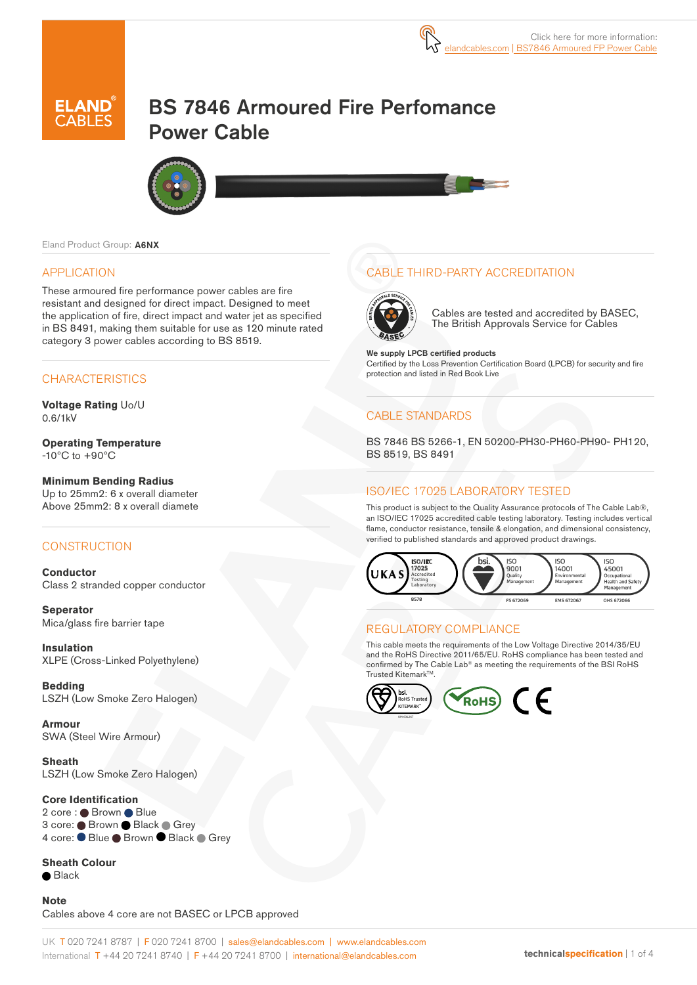# BS 7846 Armoured Fire Perfomance Power Cable



Eland Product Group: A6NX

#### APPLICATION

These armoured fire performance power cables are fire resistant and designed for direct impact. Designed to meet the application of fire, direct impact and water jet as specified in BS 8491, making them suitable for use as 120 minute rated category 3 power cables according to BS 8519.

#### **CHARACTERISTICS**

**Voltage Rating** Uo/U 0.6/1kV

**Operating Temperature** -10ºC to +90ºC

**Minimum Bending Radius**  Up to 25mm2: 6 x overall diameter Above 25mm2: 8 x overall diamete

#### **CONSTRUCTION**

**Conductor** Class 2 stranded copper conductor

**Seperator** Mica/glass fire barrier tape

**Insulation** XLPE (Cross-Linked Polyethylene)

**Bedding** LSZH (Low Smoke Zero Halogen)

**Armour** SWA (Steel Wire Armour)

**Sheath** LSZH (Low Smoke Zero Halogen)

#### **Core Identification**

2 core : Brown Blue 3 core: Brown Black Grey 4 core: ● Blue ● Brown ● Black ● Grey

**Sheath Colour**  $\bullet$  Black

**Note**  Cables above 4 core are not BASEC or LPCB approved

### CABLE THIRD-PARTY ACCREDITATION



Cables are tested and accredited by BASEC, The British Approvals Service for Cables

We supply LPCB certified products Certified by the Loss Prevention Certification Board (LPCB) for security and fire protection and listed in Red Book Live

#### CABLE STANDARDS

BS 7846 BS 5266-1, EN 50200-PH30-PH60-PH90- PH120, BS 8519, BS 8491

#### ISO/IEC 17025 LABORATORY TESTED

This product is subject to the Quality Assurance protocols of The Cable Lab®, an ISO/IEC 17025 accredited cable testing laboratory. Testing includes vertical flame, conductor resistance, tensile & elongation, and dimensional consistency, verified to published standards and approved product drawings.



#### REGULATORY COMPLIANCE

This cable meets the requirements of the Low Voltage Directive 2014/35/EU and the RoHS Directive 2011/65/EU. RoHS compliance has been tested and confirmed by The Cable Lab® as meeting the requirements of the BSI RoHS Trusted Kitemark™

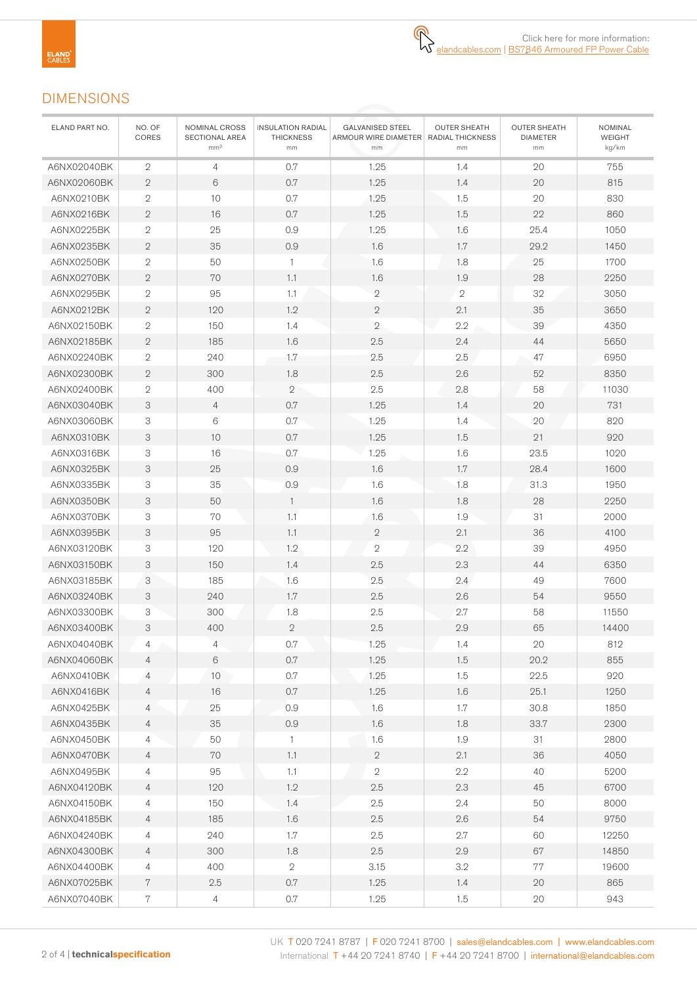## DIMENSIONS

| ELAND PART NO. | NO. OF<br>CORES           | NOMINAL CROSS<br>SECTIONAL AREA<br>mm <sup>2</sup> | <b>INSULATION RADIAL</b><br><b>THICKNESS</b><br>mm | <b>GALVANISED STEEL</b><br>ARMOUR WIRE DIAMETER   RADIAL THICKNESS<br>mm | <b>OUTER SHEATH</b><br>mm | <b>OUTER SHEATH</b><br><b>DIAMETER</b><br>mm | <b>NOMINAL</b><br>WEIGHT<br>kg/km |
|----------------|---------------------------|----------------------------------------------------|----------------------------------------------------|--------------------------------------------------------------------------|---------------------------|----------------------------------------------|-----------------------------------|
| A6NX02040BK    | $\overline{2}$            | 4                                                  | 0.7                                                | 1.25                                                                     | 1.4                       | 20                                           | 755                               |
| A6NX02060BK    | $\sqrt{2}$                | 6                                                  | 0.7                                                | 1.25                                                                     | 1.4                       | 20                                           | 815                               |
| A6NX0210BK     | $\mathbf 2$               | 10                                                 | $0.7\,$                                            | 1.25                                                                     | 1.5                       | 20                                           | 830                               |
| A6NX0216BK     | $\mathbf{2}$              | 16                                                 | 0.7                                                | 1.25                                                                     | 1.5                       | 22                                           | 860                               |
| A6NX0225BK     | $\mathbf 2$               | 25                                                 | 0.9                                                | 1.25                                                                     | 1.6                       | 25.4                                         | 1050                              |
| A6NX0235BK     | $\mathbf{2}$              | 35                                                 | 0.9                                                | 1.6                                                                      | 1.7                       | 29.2                                         | 1450                              |
| A6NX0250BK     | $\mathbf{2}$              | 50                                                 | $\mathbf{1}$                                       | 1.6                                                                      | 1.8                       | 25                                           | 1700                              |
| A6NX0270BK     | $\sqrt{2}$                | 70                                                 | 1.1                                                | 1.6                                                                      | 1.9                       | 28                                           | 2250                              |
| A6NX0295BK     | $\mathbf{2}$              | 95                                                 | 1.1                                                | $\overline{2}$                                                           | $\mathbf{2}$              | 32                                           | 3050                              |
| A6NX0212BK     | $\overline{2}$            | 120                                                | 1.2                                                | $\mathbf{2}$                                                             | 2.1                       | 35                                           | 3650                              |
| A6NX02150BK    | 2                         | 150                                                | 1.4                                                | $\overline{2}$                                                           | 2.2                       | 39                                           | 4350                              |
| A6NX02185BK    | $\sqrt{2}$                | 185                                                | 1.6                                                | 2.5                                                                      | 2.4                       | 44                                           | 5650                              |
| A6NX02240BK    | 2                         | 240                                                | 1.7                                                | 2.5                                                                      | 2.5                       | 47                                           | 6950                              |
| A6NX02300BK    | $\sqrt{2}$                | 300                                                | 1.8                                                | 2.5                                                                      | 2.6                       | 52                                           | 8350                              |
| A6NX02400BK    | $\mathbf 2$               | 400                                                | $\mathbf{2}$                                       | 2.5                                                                      | 2.8                       | 58                                           | 11030                             |
| A6NX03040BK    | 3                         | $\overline{4}$                                     | 0.7                                                | 1.25                                                                     | 1.4                       | 20                                           | 731                               |
| A6NX03060BK    | 3                         | 6                                                  | 0.7                                                | 1.25                                                                     | 1.4                       | 20                                           | 820                               |
| A6NX0310BK     | 3                         | 10                                                 | 0.7                                                | 1.25                                                                     | 1.5                       | 21                                           | 920                               |
| A6NX0316BK     | 3                         | 16                                                 | 0.7                                                | 1.25                                                                     | 1.6                       | 23.5                                         | 1020                              |
| A6NX0325BK     | $\ensuremath{\mathsf{3}}$ | 25                                                 | 0.9                                                | 1.6                                                                      | 1.7                       | 28.4                                         | 1600                              |
| A6NX0335BK     | 3                         | 35                                                 | 0.9                                                | 1.6                                                                      | 1.8                       | 31.3                                         | 1950                              |
| A6NX0350BK     | $\ensuremath{\mathsf{3}}$ | 50                                                 | $\overline{1}$                                     | 1.6                                                                      | 1.8                       | 28                                           | 2250                              |
| A6NX0370BK     | 3                         | 70                                                 | 1.1                                                | 1.6                                                                      | 1.9                       | 31                                           | 2000                              |
| A6NX0395BK     | 3                         | 95                                                 | 1.1                                                | $\mathbf{2}$                                                             | 2.1                       | 36                                           | 4100                              |
| A6NX03120BK    | 3                         | 120                                                | 1.2                                                | $\sqrt{2}$                                                               | 2.2                       | 39                                           | 4950                              |
| A6NX03150BK    | 3                         | 150                                                | 1.4                                                | 2.5                                                                      | 2.3                       | 44                                           | 6350                              |
| A6NX03185BK    | 3                         | 185                                                | 1.6                                                | 2.5                                                                      | 2.4                       | 49                                           | 7600                              |
| A6NX03240BK    | 3                         | 240                                                | 1.7                                                | 2.5                                                                      | 2.6                       | 54                                           | 9550                              |
| A6NX03300BK    | 3                         | 300                                                | 1.8                                                | 2.5                                                                      | 2.7                       | 58                                           | 11550                             |
| A6NX03400BK    | 3                         | 400                                                | $\sqrt{2}$                                         | 2.5                                                                      | 2.9                       | 65                                           | 14400                             |
| A6NX04040BK    | 4                         | $\overline{4}$                                     | 0.7                                                | 1.25                                                                     | 1.4                       | 20                                           | 812                               |
| A6NX04060BK    | 4                         | 6                                                  | 0.7                                                | 1.25                                                                     | 1.5                       | 20.2                                         | 855                               |
| A6NX0410BK     | 4                         | $10$                                               | 0.7                                                | 1.25                                                                     | 1.5                       | 22.5                                         | 920                               |
| A6NX0416BK     | 4                         | 16                                                 | 0.7                                                | 1.25                                                                     | 1.6                       | 25.1                                         | 1250                              |
| A6NX0425BK     | 4                         | 25                                                 | 0.9                                                | 1.6                                                                      | 1.7                       | 30.8                                         | 1850                              |
| A6NX0435BK     | 4                         | 35                                                 | 0.9                                                | 1.6                                                                      | 1.8                       | 33.7                                         | 2300                              |
| A6NX0450BK     | 4                         | 50                                                 | $\mathbf{1}$                                       | 1.6                                                                      | 1.9                       | 31                                           | 2800                              |
| A6NX0470BK     | $\overline{4}$            | 70                                                 | 1.1                                                | $\overline{2}$                                                           | 2.1                       | 36                                           | 4050                              |
| A6NX0495BK     | 4                         | 95                                                 | 1.1                                                | $\sqrt{2}$                                                               | $2.2\,$                   | 40                                           | 5200                              |
| A6NX04120BK    | $\overline{4}$            | 120                                                | 1.2                                                | 2.5                                                                      | 2.3                       | 45                                           | 6700                              |
| A6NX04150BK    | $\overline{4}$            | 150                                                | 1.4                                                | 2.5                                                                      | 2.4                       | 50                                           | 8000                              |
| A6NX04185BK    | $\overline{4}$            | 185                                                | 1.6                                                | $2.5\,$                                                                  | 2.6                       | 54                                           | 9750                              |
| A6NX04240BK    | 4                         | 240                                                | 1.7                                                | 2.5                                                                      | 2.7                       | 60                                           | 12250                             |
| A6NX04300BK    | $\overline{4}$            | 300                                                | 1.8                                                | 2.5                                                                      | 2.9                       | 67                                           | 14850                             |
| A6NX04400BK    | 4                         | 400                                                | $\sqrt{2}$                                         | 3.15                                                                     | 3.2                       | 77                                           | 19600                             |
| A6NX07025BK    | $7\,$                     | 2.5                                                | 0.7                                                | 1.25                                                                     | 1.4                       | 20                                           | 865                               |
| A6NX07040BK    | $\,7$                     | 4                                                  | 0.7                                                | 1.25                                                                     | 1.5                       | 20                                           | 943                               |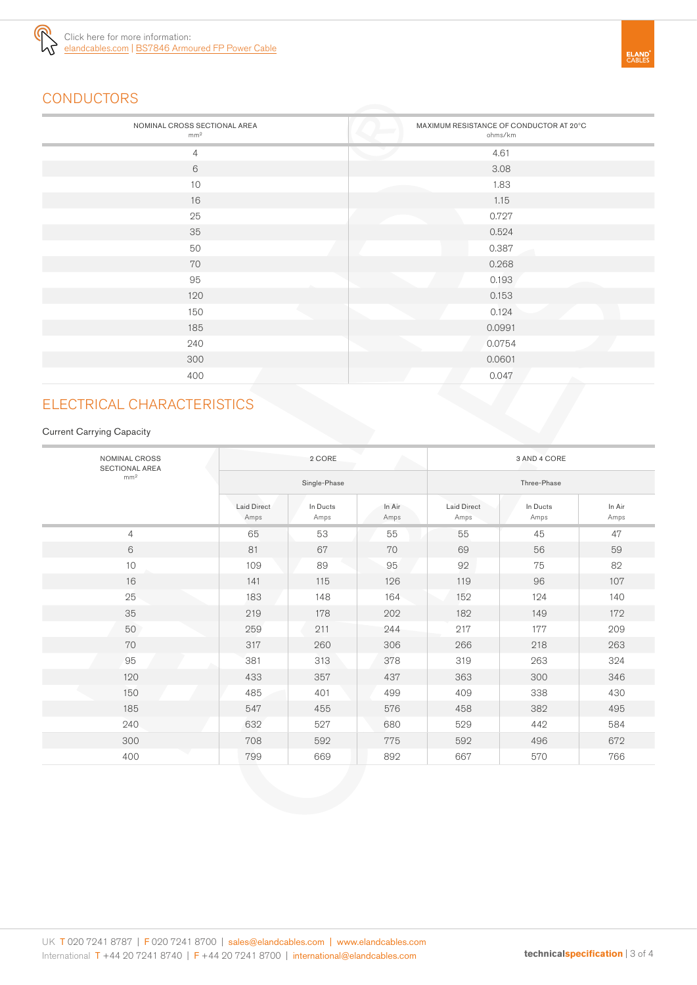

# **CONDUCTORS**

| NOMINAL CROSS SECTIONAL AREA<br>mm <sup>2</sup> | MAXIMUM RESISTANCE OF CONDUCTOR AT 20°C<br>ohms/km |
|-------------------------------------------------|----------------------------------------------------|
| $\overline{4}$                                  | 4.61                                               |
| 6                                               | 3.08                                               |
| 10                                              | 1.83                                               |
| 16                                              | 1.15                                               |
| 25                                              | 0.727                                              |
| 35                                              | 0.524                                              |
| 50                                              | 0.387                                              |
| 70                                              | 0.268                                              |
| 95                                              | 0.193                                              |
| 120                                             | 0.153                                              |
| 150                                             | 0.124                                              |
| 185                                             | 0.0991                                             |
| 240                                             | 0.0754                                             |
| 300                                             | 0.0601                                             |
| 400                                             | 0.047<br>A.                                        |

# ELECTRICAL CHARACTERISTICS

#### Current Carrying Capacity

| NOMINAL CROSS<br><b>SECTIONAL AREA</b> | 2 CORE                     |                  |                | 3 AND 4 CORE               |                  |                |
|----------------------------------------|----------------------------|------------------|----------------|----------------------------|------------------|----------------|
| mm <sup>2</sup>                        | Single-Phase               |                  |                | Three-Phase                |                  |                |
|                                        | <b>Laid Direct</b><br>Amps | In Ducts<br>Amps | In Air<br>Amps | <b>Laid Direct</b><br>Amps | In Ducts<br>Amps | In Air<br>Amps |
| $\overline{4}$                         | 65                         | 53               | 55             | 55                         | 45               | 47             |
| 6                                      | 81                         | 67               | 70             | 69                         | 56               | 59             |
| 10                                     | 109                        | 89               | 95             | 92                         | 75               | 82             |
| 16                                     | 141                        | 115              | 126            | 119                        | 96               | 107            |
| 25                                     | 183                        | 148              | 164            | 152                        | 124              | 140            |
| 35                                     | 219                        | 178              | 202            | 182                        | 149              | 172            |
| 50                                     | 259                        | 211              | 244            | 217                        | 177              | 209            |
| 70                                     | 317                        | 260              | 306            | 266                        | 218              | 263            |
| 95                                     | 381                        | 313              | 378            | 319                        | 263              | 324            |
| 120                                    | 433                        | 357              | 437            | 363                        | 300              | 346            |
| 150                                    | 485                        | 401              | 499            | 409                        | 338              | 430            |
| 185                                    | 547                        | 455              | 576            | 458                        | 382              | 495            |
| 240                                    | 632                        | 527              | 680            | 529                        | 442              | 584            |
| 300                                    | 708                        | 592              | 775            | 592                        | 496              | 672            |
| 400                                    | 799                        | 669              | 892            | 667                        | 570              | 766            |